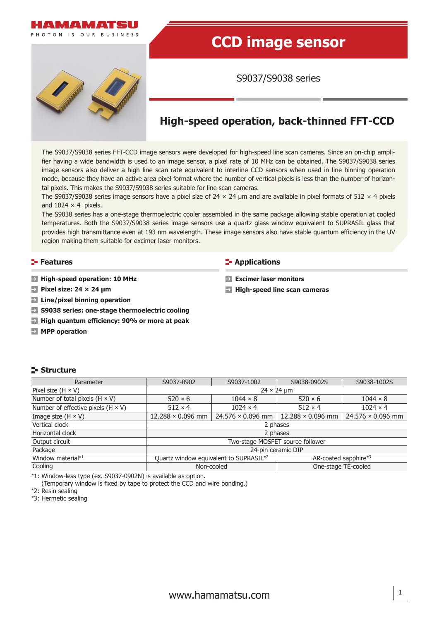

# **CCD image sensor**

S9037/S9038 series



# **High-speed operation, back-thinned FFT-CCD**

**Excimer laser monitors**

**High-speed line scan cameras** 

The S9037/S9038 series FFT-CCD image sensors were developed for high-speed line scan cameras. Since an on-chip amplifier having a wide bandwidth is used to an image sensor, a pixel rate of 10 MHz can be obtained. The S9037/S9038 series image sensors also deliver a high line scan rate equivalent to interline CCD sensors when used in line binning operation mode, because they have an active area pixel format where the number of vertical pixels is less than the number of horizontal pixels. This makes the S9037/S9038 series suitable for line scan cameras.

The S9037/S9038 series image sensors have a pixel size of  $24 \times 24$  µm and are available in pixel formats of  $512 \times 4$  pixels and  $1024 \times 4$  pixels.

The S9038 series has a one-stage thermoelectric cooler assembled in the same package allowing stable operation at cooled temperatures. Both the S9037/S9038 series image sensors use a quartz glass window equivalent to SUPRASIL glass that provides high transmittance even at 193 nm wavelength. These image sensors also have stable quantum efficiency in the UV region making them suitable for excimer laser monitors.

#### **Features Contractions Contractions**

- **High-speed operation: 10 MHz**
- **Pixel size: 24 × 24 μm**
- **Line/pixel binning operation**
- **S9038 series: one-stage thermoelectric cooling**
- **High quantum efficiency: 90% or more at peak**
- **MPP** operation

#### **Structure**

| Parameter                                 | S9037-1002<br>S9037-0902                                       |                                   | S9038-0902S              | S9038-1002S              |  |  |
|-------------------------------------------|----------------------------------------------------------------|-----------------------------------|--------------------------|--------------------------|--|--|
| Pixel size $(H \times V)$                 |                                                                | $24 \times 24$ µm                 |                          |                          |  |  |
| Number of total pixels $(H \times V)$     | $520 \times 6$                                                 | $1044 \times 8$<br>$520 \times 6$ |                          |                          |  |  |
| Number of effective pixels $(H \times V)$ | $512 \times 4$                                                 | $1024 \times 4$                   | $512 \times 4$           | $1024 \times 4$          |  |  |
| Image size $(H \times V)$                 | $12.288 \times 0.096$ mm                                       | $24.576 \times 0.096$ mm          | $12.288 \times 0.096$ mm | $24.576 \times 0.096$ mm |  |  |
| Vertical clock                            | 2 phases                                                       |                                   |                          |                          |  |  |
| Horizontal clock                          | 2 phases                                                       |                                   |                          |                          |  |  |
| Output circuit                            | Two-stage MOSFET source follower                               |                                   |                          |                          |  |  |
| Package                                   | 24-pin ceramic DIP                                             |                                   |                          |                          |  |  |
| Window material*1                         | Quartz window equivalent to SUPRASIL*2<br>AR-coated sapphire*3 |                                   |                          |                          |  |  |
| Cooling                                   | One-stage TE-cooled<br>Non-cooled                              |                                   |                          |                          |  |  |
|                                           |                                                                |                                   |                          |                          |  |  |

\*1: Window-less type (ex. S9037-0902N) is available as option.

(Temporary window is fixed by tape to protect the CCD and wire bonding.) \*2: Resin sealing

\*3: Hermetic sealing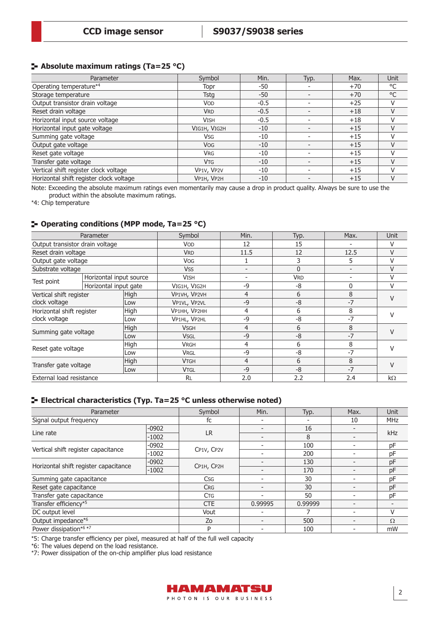# **Absolute maximum ratings (Ta=25 °C)**

| Parameter                               | Symbol       | Min.   | Typ. | Max.  | Unit         |
|-----------------------------------------|--------------|--------|------|-------|--------------|
| Operating temperature <sup>*4</sup>     | Topr         | -50    |      | $+70$ | °C           |
| Storage temperature                     | <b>Tstg</b>  | -50    |      | $+70$ | $^{\circ}$ C |
| Output transistor drain voltage         | <b>VOD</b>   | $-0.5$ |      | $+25$ |              |
| Reset drain voltage                     | <b>VRD</b>   | $-0.5$ |      | $+18$ |              |
| Horizontal input source voltage         | <b>VISH</b>  | $-0.5$ |      | $+18$ |              |
| Horizontal input gate voltage           | VIG1H, VIG2H | $-10$  |      | $+15$ |              |
| Summing gate voltage                    | Vsg          | -10    |      | $+15$ |              |
| Output gate voltage                     | <b>VOG</b>   | $-10$  |      | $+15$ | V            |
| Reset gate voltage                      | <b>VRG</b>   | -10    |      | $+15$ |              |
| Transfer gate voltage                   | <b>VTG</b>   | $-10$  |      | $+15$ |              |
| Vertical shift register clock voltage   | VP1V, VP2V   | $-10$  |      | $+15$ |              |
| Horizontal shift register clock voltage | VP1H, VP2H   | -10    |      | $+15$ | V            |

Note: Exceeding the absolute maximum ratings even momentarily may cause a drop in product quality. Always be sure to use the product within the absolute maximum ratings.

\*4: Chip temperature

#### **Operating conditions (MPP mode, Ta=25 °C)**

| Parameter                                  |                             | Symbol      | Min.         | Typ. | Max.       | Unit                     |           |  |
|--------------------------------------------|-----------------------------|-------------|--------------|------|------------|--------------------------|-----------|--|
| Output transistor drain voltage            |                             |             | VOD          | 12   | 15         |                          |           |  |
| Reset drain voltage                        |                             |             | <b>VRD</b>   | 11.5 | 12         | 12.5                     | $\vee$    |  |
| Output gate voltage                        |                             |             | <b>VOG</b>   |      | 3          | 5                        | V         |  |
| Substrate voltage                          |                             |             | <b>VSS</b>   |      | 0          | $\overline{\phantom{0}}$ | $\vee$    |  |
|                                            | Horizontal input source     |             | <b>VISH</b>  |      | <b>VRD</b> |                          | V         |  |
| Test point                                 | Horizontal input gate       |             | VIG1H, VIG2H | $-9$ | -8         | $\mathbf{0}$             | v         |  |
| Vertical shift register<br>clock voltage   |                             | <b>High</b> | VP1VH, VP2VH | 4    | 6          | 8                        | V         |  |
|                                            |                             | Low         | VP1VL, VP2VL | $-9$ | -8         | $-7$                     |           |  |
| Horizontal shift register<br>clock voltage |                             | High        | VP1HH, VP2HH | 4    | 6          | 8                        |           |  |
|                                            |                             | Low         | VP1HL, VP2HL | $-9$ | -8         | $-7$                     |           |  |
| High                                       |                             |             | <b>VSGH</b>  | 4    | 6          | 8                        | $\vee$    |  |
|                                            | Summing gate voltage<br>Low |             | <b>VSGL</b>  | $-9$ | $-8$       | $-7$                     |           |  |
|                                            |                             | High        | <b>VRGH</b>  | 4    | 6          | 8                        |           |  |
| Reset gate voltage<br>Low                  |                             |             | <b>VRGL</b>  | $-9$ | -8         | $-7$                     | V         |  |
| High<br>Transfer gate voltage<br>Low       |                             |             | <b>VTGH</b>  | 4    | 6          | 8                        |           |  |
|                                            |                             |             | <b>VTGL</b>  | $-9$ | $-8$       | $-7$                     |           |  |
| External load resistance                   |                             |             | <b>RL</b>    | 2.0  | 2.2        | 2.4                      | $k\Omega$ |  |

# **Electrical characteristics (Typ. Ta=25 °C unless otherwise noted)**

| Parameter                             |         | Symbol     | Min.    | Typ.    | Max. | <b>Unit</b> |
|---------------------------------------|---------|------------|---------|---------|------|-------------|
| Signal output frequency               |         | fc         |         |         | 10   | <b>MHz</b>  |
| Line rate                             | $-0902$ | <b>LR</b>  |         | 16      |      | kHz         |
|                                       | $-1002$ |            |         | 8       |      |             |
| Vertical shift register capacitance   | $-0902$ | CP1V, CP2V |         | 100     |      | pF          |
|                                       | $-1002$ |            |         | 200     |      | pF          |
|                                       | $-0902$ |            |         | 130     |      | pF          |
| Horizontal shift register capacitance | $-1002$ | CP1H, CP2H |         | 170     |      | pF          |
| Summing gate capacitance              |         | <b>Csg</b> |         | 30      |      | pF          |
| Reset gate capacitance                |         | <b>CRG</b> |         | 30      |      | pF          |
| Transfer gate capacitance             |         | <b>CTG</b> |         | 50      |      | pF          |
| Transfer efficiency*5                 |         | <b>CTE</b> | 0.99995 | 0.99999 |      |             |
| DC output level                       |         | Vout       |         |         |      | V           |
| Output impedance*6                    |         | Zo         |         | 500     |      | $\Omega$    |
| Power dissipation*6 *7                |         | P          |         | 100     |      | mW          |

\*5: Charge transfer efficiency per pixel, measured at half of the full well capacity

\*6: The values depend on the load resistance.

\*7: Power dissipation of the on-chip amplifier plus load resistance

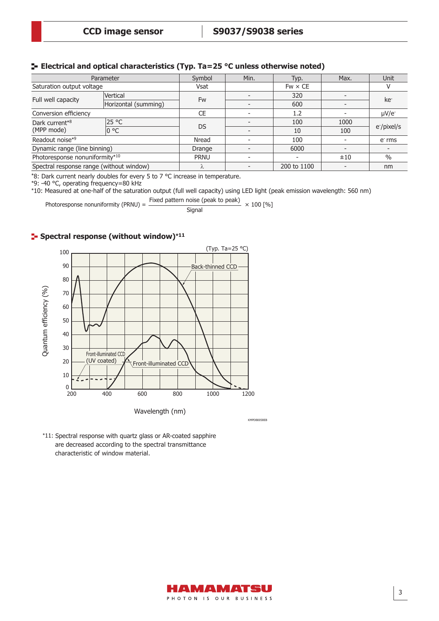#### **Electrical and optical characteristics (Typ. Ta=25 °C unless otherwise noted)**

| Parameter                                |                      | Symbol      | Min. | Typ.           | Max.                     | Unit            |
|------------------------------------------|----------------------|-------------|------|----------------|--------------------------|-----------------|
| Saturation output voltage                |                      | <b>Vsat</b> |      | $Fw \times CE$ |                          |                 |
| Full well capacity                       | Vertical             |             |      | 320            |                          | ke <sup>-</sup> |
|                                          | Horizontal (summing) | Fw          |      | 600            | -                        |                 |
| Conversion efficiency                    |                      | <b>CE</b>   |      | 1.2            |                          | $\mu V/e^{-}$   |
| Dark current*8                           | 25 °C                | DS          |      | 100            | 1000                     |                 |
| (MPP mode)                               | 0 °C                 |             |      | 10             | 100                      | e-/pixel/s      |
| Readout noise* <sup>9</sup>              |                      |             |      | 100            |                          | $e-$ rms        |
| Dynamic range (line binning)             |                      | Drange      |      | 6000           | $\overline{\phantom{0}}$ |                 |
| Photoresponse nonuniformity*10           |                      | <b>PRNU</b> |      |                | ±10                      | $\%$            |
| Spectral response range (without window) |                      | Λ           |      | 200 to 1100    |                          | nm              |

\*8: Dark current nearly doubles for every 5 to 7 °C increase in temperature.

\*9: -40 °C, operating frequency=80 kHz

\*10: Measured at one-half of the saturation output (full well capacity) using LED light (peak emission wavelength: 560 nm)

Fixed pattern noise (peak to peak) Photoresponse nonuniformity (PRNU) =  $\frac{F}{R} = \frac{F}{R}$  Signal Signal  $\times 100$  [%]

#### **Spectral response (without window)\*<sup>11</sup>**



KMPDB0058EB

\*11: Spectral response with quartz glass or AR-coated sapphire are decreased according to the spectral transmittance characteristic of window material.

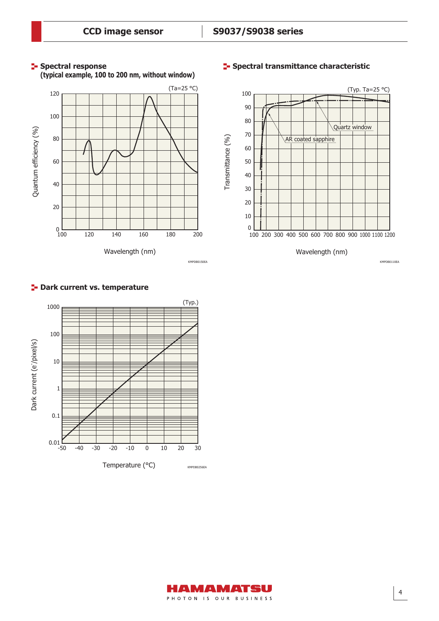**Spectral response** 



#### **Spectral transmittance characteristic**



**P**-Dark current vs. temperature



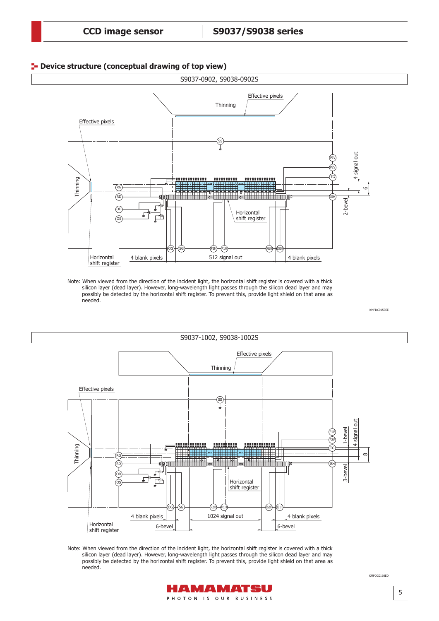#### **P**- Device structure (conceptual drawing of top view)



Note: When viewed from the direction of the incident light, the horizontal shift register is covered with a thick silicon layer (dead layer). However, long-wavelength light passes through the silicon dead layer and may possibly be detected by the horizontal shift register. To prevent this, provide light shield on that area as needed.



Note: When viewed from the direction of the incident light, the horizontal shift register is covered with a thick silicon layer (dead layer). However, long-wavelength light passes through the silicon dead layer and may possibly be detected by the horizontal shift register. To prevent this, provide light shield on that area as needed.



KMPDC0160ED KMPDC0160ED

KMPDC0159EE

KMPD CO159E

5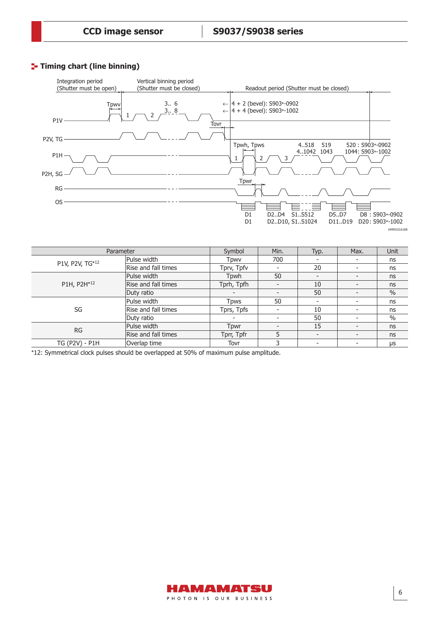#### **Timing chart (line binning)**



| Parameter       |                     | Symbol     | Min. | Typ.                     | Max.                     | <b>Unit</b> |
|-----------------|---------------------|------------|------|--------------------------|--------------------------|-------------|
| P1V, P2V, TG*12 | Pulse width         | Tpwv       | 700  | $\overline{\phantom{0}}$ | $\overline{\phantom{a}}$ | ns          |
|                 | Rise and fall times | Tprv, Tpfv |      | 20                       |                          | ns          |
|                 | Pulse width         | Tpwh       | 50   | $\overline{\phantom{0}}$ |                          | ns          |
| P1H, P2H*12     | Rise and fall times | Tprh, Tpfh |      | 10                       |                          | ns          |
|                 | Duty ratio          |            |      | 50                       | -                        | $\%$        |
|                 | Pulse width         | Tpws       | 50   | $\overline{\phantom{a}}$ |                          | ns          |
| SG              | Rise and fall times | Tprs, Tpfs |      | 10                       |                          | ns          |
|                 | Duty ratio          |            |      | 50                       |                          | $\%$        |
| <b>RG</b>       | Pulse width         | Tpwr       |      | 15                       |                          | ns          |
|                 | Rise and fall times | Tprr, Tpfr | 5    | $\overline{\phantom{a}}$ | $\overline{\phantom{a}}$ | ns          |
| TG (P2V) - P1H  | Overlap time        | Tovr       | 3    | $\overline{\phantom{0}}$ |                          | μs          |

\*12: Symmetrical clock pulses should be overlapped at 50% of maximum pulse amplitude.

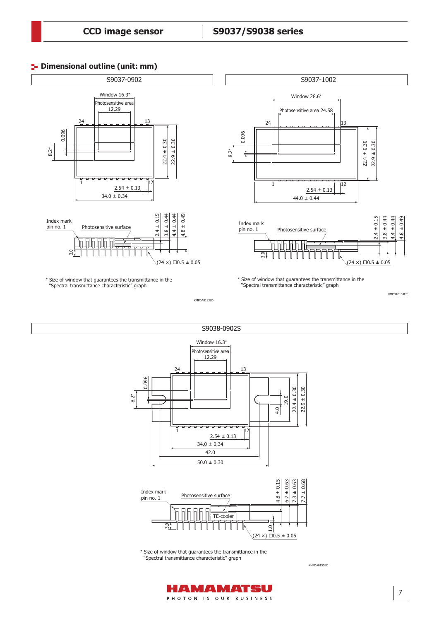# **P**- Dimensional outline (unit: mm)



\* Size of window that guarantees the transmittance in the "Spectral transmittance characteristic" graph



\* Size of window that guarantees the transmittance in the "Spectral transmittance characteristic" graph

KMPDA0153ED





\* Size of window that guarantees the transmittance in the "Spectral transmittance characteristic" graph

KMPDA0155EC



KMPDA0154EC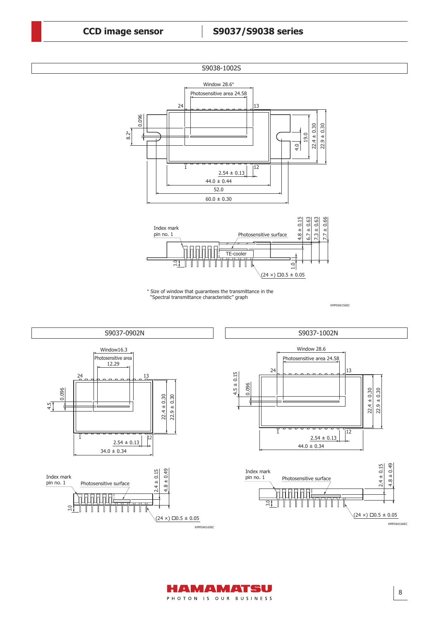



 $\tilde{3}$ 



3.0



KMPDA0166EC

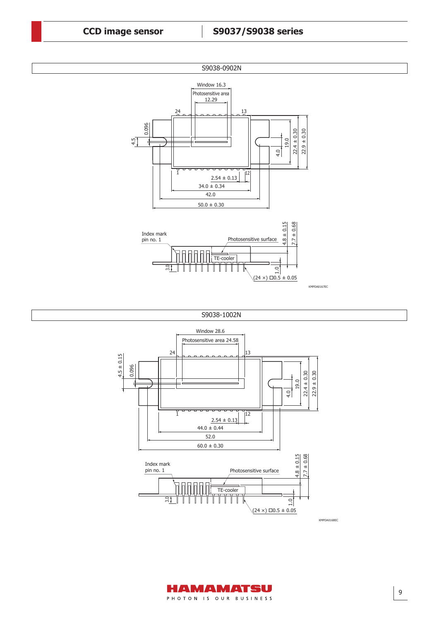

 $34.0 \pm 0.34$ 

≂  $-\frac{1}{2}$ 

 $\overline{1}$ 

 $2.54 \pm 0.13$ 

 $12$ 





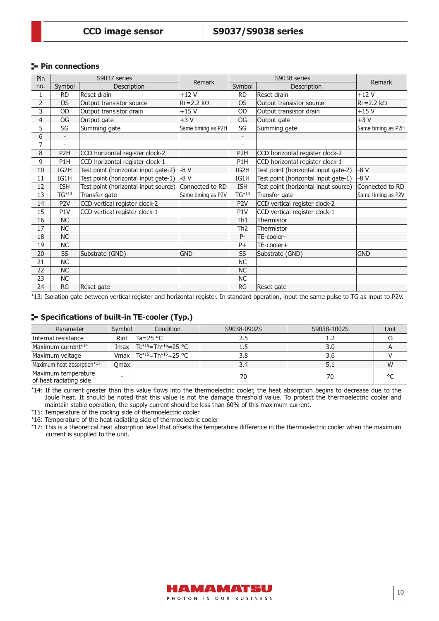#### **Pin connections**

| Pin            | S9037 series             |                                      | Remark             | S9038 series             |                                      | Remark             |  |
|----------------|--------------------------|--------------------------------------|--------------------|--------------------------|--------------------------------------|--------------------|--|
| no.            | Symbol                   | Description                          |                    | Symbol                   | Description                          |                    |  |
| 1              | <b>RD</b>                | Reset drain                          | $+12V$             | <b>RD</b>                | Reset drain                          | $+12V$             |  |
| $\overline{2}$ | <b>OS</b>                | Output transistor source             | $RL = 2.2 k\Omega$ | <b>OS</b>                | Output transistor source             | $RL = 2.2 k\Omega$ |  |
| 3              | OD                       | Output transistor drain              | $+15V$             | OD                       | Output transistor drain              | $+15V$             |  |
| 4              | OG                       | Output gate                          | $+3V$              | OG                       | Output gate                          | $+3V$              |  |
| 5              | SG                       | Summing gate                         | Same timing as P2H | SG                       | Summing gate                         | Same timing as P2H |  |
| 6              |                          |                                      |                    | $\overline{\phantom{0}}$ |                                      |                    |  |
| 7              | $\overline{\phantom{a}}$ |                                      |                    | $\overline{\phantom{a}}$ |                                      |                    |  |
| 8              | P <sub>2</sub> H         | CCD horizontal register clock-2      |                    | P <sub>2</sub> H         | CCD horizontal register clock-2      |                    |  |
| 9              | P1H                      | CCD horizontal register clock-1      |                    | P1H                      | CCD horizontal register clock-1      |                    |  |
| 10             | IG2H                     | Test point (horizontal input gate-2) | $-8V$              | IG2H                     | Test point (horizontal input gate-2) | $-8V$              |  |
| 11             | IG1H                     | Test point (horizontal input gate-1) | $-8V$              | IG1H                     | Test point (horizontal input gate-1) | $-8V$              |  |
| 12             | <b>ISH</b>               | Test point (horizontal input source) | Connected to RD    | <b>ISH</b>               | Test point (horizontal input source) | Connected to RD    |  |
| 13             | $TG^{*13}$               | Transfer gate                        | Same timing as P2V | $TG^{*13}$               | Transfer gate                        | Same timing as P2V |  |
| 14             | P <sub>2</sub> V         | CCD vertical register clock-2        |                    | P <sub>2</sub> V         | CCD vertical register clock-2        |                    |  |
| 15             | P1V                      | CCD vertical register clock-1        |                    | P1V                      | CCD vertical register clock-1        |                    |  |
| 16             | <b>NC</b>                |                                      |                    | Th <sub>1</sub>          | Thermistor                           |                    |  |
| 17             | <b>NC</b>                |                                      |                    | Th <sub>2</sub>          | Thermistor                           |                    |  |
| 18             | <b>NC</b>                |                                      |                    | $P -$                    | TE-cooler-                           |                    |  |
| 19             | <b>NC</b>                |                                      |                    | $P+$                     | TE-cooler+                           |                    |  |
| 20             | SS                       | Substrate (GND)                      | <b>GND</b>         | SS                       | Substrate (GND)                      | <b>GND</b>         |  |
| 21             | <b>NC</b>                |                                      |                    | <b>NC</b>                |                                      |                    |  |
| 22             | NC                       |                                      |                    | NC                       |                                      |                    |  |
| 23             | <b>NC</b>                |                                      |                    | <b>NC</b>                |                                      |                    |  |
| 24             | <b>RG</b>                | Reset gate                           |                    | <b>RG</b>                | Reset gate                           |                    |  |

\*13: Isolation gate between vertical register and horizontal register. In standard operation, input the same pulse to TG as input to P2V.

# **Specifications of built-in TE-cooler (Typ.)**

| Parameter                                     | Symbol | Condition                            | S9038-0902S | S9038-1002S | Unit       |
|-----------------------------------------------|--------|--------------------------------------|-------------|-------------|------------|
| Internal resistance                           | Rint   | lTa=25 °C                            | 2.5         |             |            |
| Maximum current* <sup>14</sup>                | Imax   | $Tc^{*15}$ =Th <sup>*16</sup> =25 °C | 1.5         | 3.0         |            |
| Maximum voltage                               | Vmax   | $TC^{*15} = Th^{*16} = 25 °C$        | 3.8         | 3.6         |            |
| Maximum heat absorption*17                    | Omax   |                                      | 3.4         | 5.1         | W          |
| Maximum temperature<br>of heat radiating side |        |                                      | 70          | 70          | $^{\circ}$ |

\*14: If the current greater than this value flows into the thermoelectric cooler, the heat absorption begins to decrease due to the Joule heat. It should be noted that this value is not the damage threshold value. To protect the thermoelectric cooler and maintain stable operation, the supply current should be less than 60% of this maximum current.

\*15: Temperature of the cooling side of thermoelectric cooler

\*16: Temperature of the heat radiating side of thermoelectric cooler

\*17: This is a theoretical heat absorption level that offsets the temperature difference in the thermoelectric cooler when the maximum current is supplied to the unit.

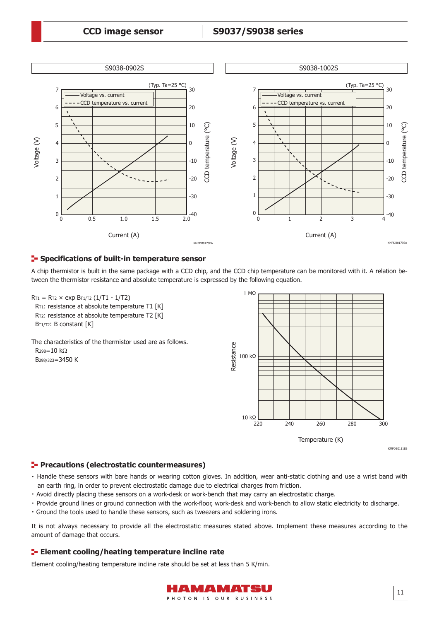

#### **F** Specifications of built-in temperature sensor

A chip thermistor is built in the same package with a CCD chip, and the CCD chip temperature can be monitored with it. A relation between the thermistor resistance and absolute temperature is expressed by the following equation.



The characteristics of the thermistor used are as follows. R298=10 kΩ B298/323=3450 K



#### **Precautions (electrostatic countermeasures)**

- ・Handle these sensors with bare hands or wearing cotton gloves. In addition, wear anti-static clothing and use a wrist band with an earth ring, in order to prevent electrostatic damage due to electrical charges from friction.
- ・ Avoid directly placing these sensors on a work-desk or work-bench that may carry an electrostatic charge.
- ・ Provide ground lines or ground connection with the work-floor, work-desk and work-bench to allow static electricity to discharge.
- ・Ground the tools used to handle these sensors, such as tweezers and soldering irons.

It is not always necessary to provide all the electrostatic measures stated above. Implement these measures according to the amount of damage that occurs.

#### **ELEMENT COOLING THE EXECUTE THE EXECUTE THE EXECUTE THE EXECUTION OF EXECUTION**

Element cooling/heating temperature incline rate should be set at less than 5 K/min.